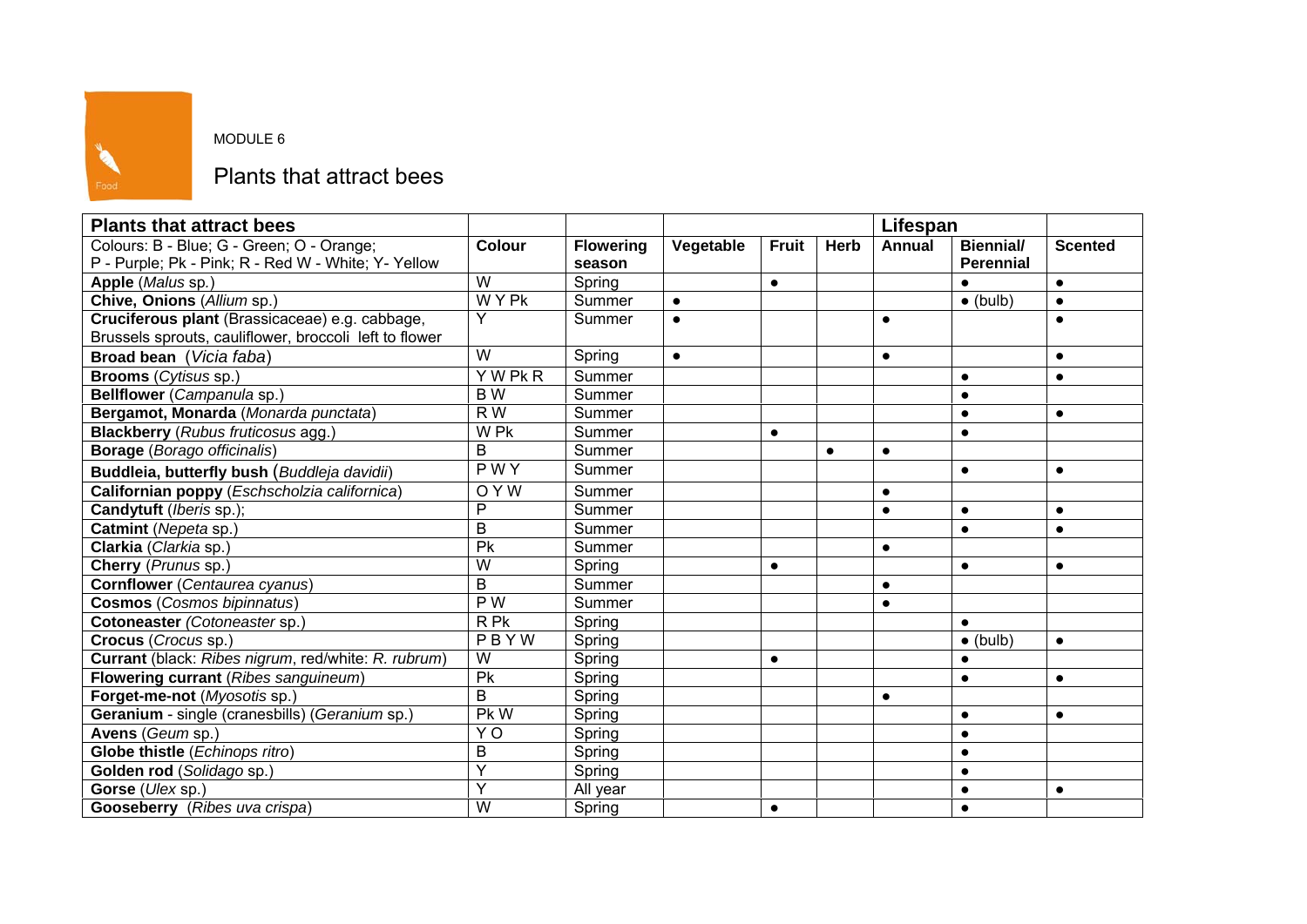

## MODULE 6

## Plants that attract bees

| <b>Plants that attract bees</b>                        |                  |                  |           |              |             | Lifespan      |                  |                |
|--------------------------------------------------------|------------------|------------------|-----------|--------------|-------------|---------------|------------------|----------------|
| Colours: B - Blue; G - Green; O - Orange;              | <b>Colour</b>    | <b>Flowering</b> | Vegetable | <b>Fruit</b> | <b>Herb</b> | <b>Annual</b> | <b>Biennial/</b> | <b>Scented</b> |
| P - Purple; Pk - Pink; R - Red W - White; Y- Yellow    |                  | season           |           |              |             |               | <b>Perennial</b> |                |
| Apple (Malus sp.)                                      | W                | Spring           |           | $\bullet$    |             |               |                  | $\bullet$      |
| Chive, Onions (Allium sp.)                             | <b>WYPK</b>      | Summer           | $\bullet$ |              |             |               | $\bullet$ (bulb) | $\bullet$      |
| Cruciferous plant (Brassicaceae) e.g. cabbage,         | Υ                | Summer           | $\bullet$ |              |             | $\bullet$     |                  |                |
| Brussels sprouts, cauliflower, broccoli left to flower |                  |                  |           |              |             |               |                  |                |
| Broad bean (Vicia faba)                                | W                | Spring           | $\bullet$ |              |             | $\bullet$     |                  | $\bullet$      |
| <b>Brooms</b> (Cytisus sp.)                            | Y W Pk R         | Summer           |           |              |             |               | $\bullet$        | $\bullet$      |
| Bellflower (Campanula sp.)                             | B W              | Summer           |           |              |             |               | $\bullet$        |                |
| Bergamot, Monarda (Monarda punctata)                   | R W              | Summer           |           |              |             |               | $\bullet$        | $\bullet$      |
| <b>Blackberry</b> (Rubus fruticosus agg.)              | W Pk             | Summer           |           | $\bullet$    |             |               | $\bullet$        |                |
| <b>Borage</b> (Borago officinalis)                     | B                | Summer           |           |              | $\bullet$   | $\bullet$     |                  |                |
| Buddleia, butterfly bush (Buddleja davidii)            | <b>PWY</b>       | Summer           |           |              |             |               | $\bullet$        | $\bullet$      |
| Californian poppy (Eschscholzia californica)           | OYW              | Summer           |           |              |             | $\bullet$     |                  |                |
| Candytuft (Iberis sp.);                                | P                | Summer           |           |              |             | $\bullet$     | $\bullet$        | $\bullet$      |
| Catmint (Nepeta sp.)                                   | B                | Summer           |           |              |             |               | $\bullet$        | $\bullet$      |
| Clarkia (Clarkia sp.)                                  | Pk               | Summer           |           |              |             | $\bullet$     |                  |                |
| Cherry (Prunus sp.)                                    | W                | Spring           |           | $\bullet$    |             |               | $\bullet$        | $\bullet$      |
| <b>Cornflower</b> (Centaurea cyanus)                   | B                | Summer           |           |              |             | $\bullet$     |                  |                |
| <b>Cosmos</b> (Cosmos bipinnatus)                      | $\overline{P}$ W | Summer           |           |              |             | $\bullet$     |                  |                |
| Cotoneaster (Cotoneaster sp.)                          | R Pk             | Spring           |           |              |             |               | $\bullet$        |                |
| Crocus (Crocus sp.)                                    | PBYW             | Spring           |           |              |             |               | $\bullet$ (bulb) | $\bullet$      |
| Currant (black: Ribes nigrum, red/white: R. rubrum)    | W                | Spring           |           | $\bullet$    |             |               | $\bullet$        |                |
| Flowering currant (Ribes sanguineum)                   | Pk               | Spring           |           |              |             |               | $\bullet$        | $\bullet$      |
| Forget-me-not (Myosotis sp.)                           | B                | Spring           |           |              |             | $\bullet$     |                  |                |
| Geranium - single (cranesbills) (Geranium sp.)         | Pk W             | Spring           |           |              |             |               | $\bullet$        | $\bullet$      |
| Avens (Geum sp.)                                       | Y <sub>O</sub>   | Spring           |           |              |             |               | $\bullet$        |                |
| Globe thistle (Echinops ritro)                         | B                | Spring           |           |              |             |               | $\bullet$        |                |
| Golden rod (Solidago sp.)                              | Y                | Spring           |           |              |             |               | $\bullet$        |                |
| Gorse (Ulex sp.)                                       | Y                | All year         |           |              |             |               | $\bullet$        | $\bullet$      |
| <b>Gooseberry</b> (Ribes uva crispa)                   | W                | Spring           |           | $\bullet$    |             |               | $\bullet$        |                |